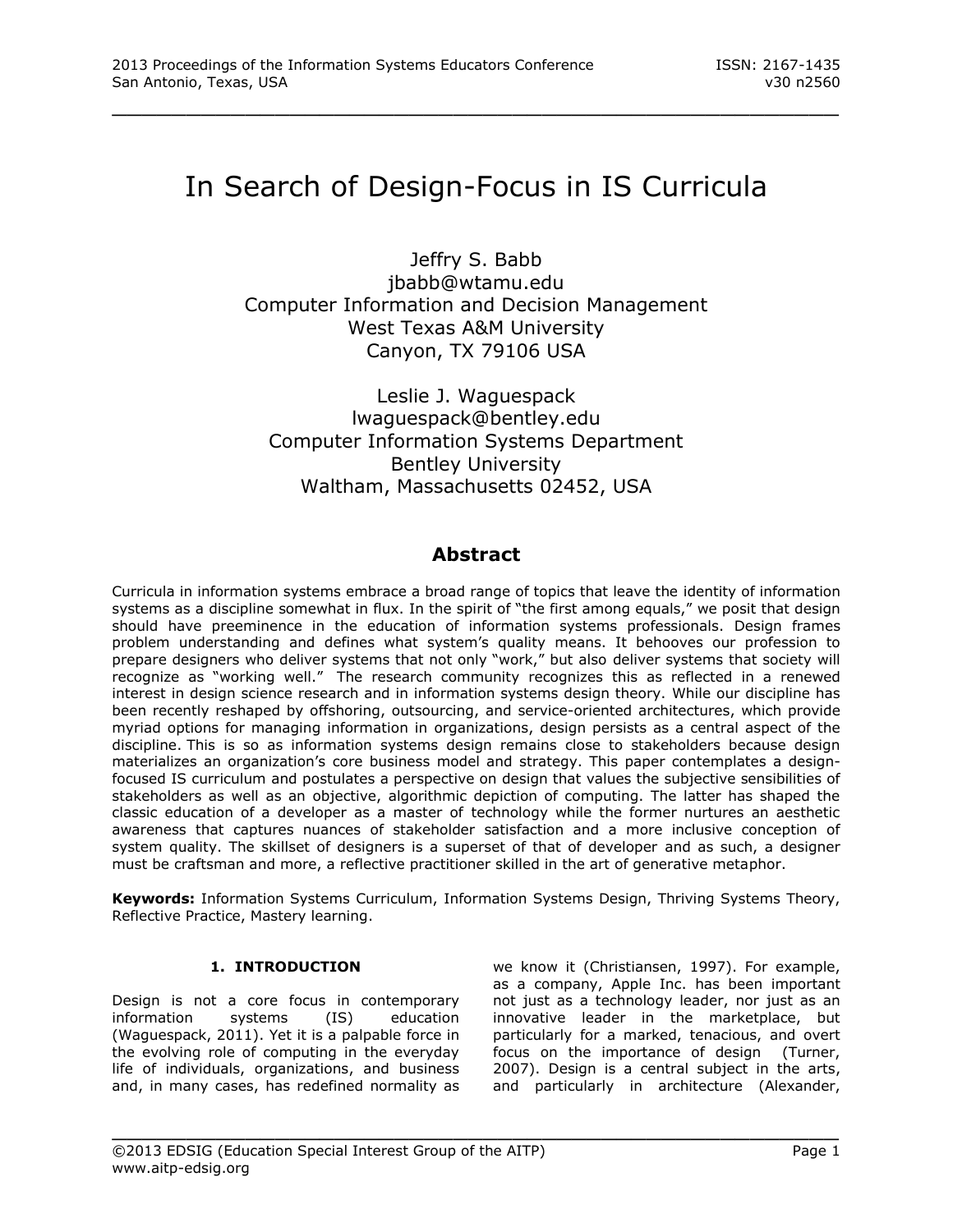# In Search of Design-Focus in IS Curricula

\_\_\_\_\_\_\_\_\_\_\_\_\_\_\_\_\_\_\_\_\_\_\_\_\_\_\_\_\_\_\_\_\_\_\_\_\_\_\_\_\_\_\_\_\_\_\_\_\_

Jeffry S. Babb [jbabb@wtamu.edu](mailto:jbabb@wtamu.edu) Computer Information and Decision Management West Texas A&M University Canyon, TX 79106 USA

Leslie J. Waguespack [lwaguespack@bentley.edu](mailto:lwaguespack@bentley.edu) Computer Information Systems Department Bentley University Waltham, Massachusetts 02452, USA

# **Abstract**

Curricula in information systems embrace a broad range of topics that leave the identity of information systems as a discipline somewhat in flux. In the spirit of "the first among equals," we posit that design should have preeminence in the education of information systems professionals. Design frames problem understanding and defines what system's quality means. It behooves our profession to prepare designers who deliver systems that not only "work," but also deliver systems that society will recognize as "working well." The research community recognizes this as reflected in a renewed interest in design science research and in information systems design theory. While our discipline has been recently reshaped by offshoring, outsourcing, and service-oriented architectures, which provide myriad options for managing information in organizations, design persists as a central aspect of the discipline. This is so as information systems design remains close to stakeholders because design materializes an organization's core business model and strategy. This paper contemplates a designfocused IS curriculum and postulates a perspective on design that values the subjective sensibilities of stakeholders as well as an objective, algorithmic depiction of computing. The latter has shaped the classic education of a developer as a master of technology while the former nurtures an aesthetic awareness that captures nuances of stakeholder satisfaction and a more inclusive conception of system quality. The skillset of designers is a superset of that of developer and as such, a designer must be craftsman and more, a reflective practitioner skilled in the art of generative metaphor.

**Keywords:** Information Systems Curriculum, Information Systems Design, Thriving Systems Theory, Reflective Practice, Mastery learning.

\_\_\_\_\_\_\_\_\_\_\_\_\_\_\_\_\_\_\_\_\_\_\_\_\_\_\_\_\_\_\_\_\_\_\_\_\_\_\_\_\_\_\_\_\_\_\_\_\_

# **1. INTRODUCTION**

Design is not a core focus in contemporary information systems (IS) education (Waguespack, 2011). Yet it is a palpable force in the evolving role of computing in the everyday life of individuals, organizations, and business and, in many cases, has redefined normality as we know it (Christiansen, 1997). For example, as a company, Apple Inc. has been important not just as a technology leader, nor just as an innovative leader in the marketplace, but particularly for a marked, tenacious, and overt focus on the importance of design (Turner, 2007). Design is a central subject in the arts, and particularly in architecture (Alexander,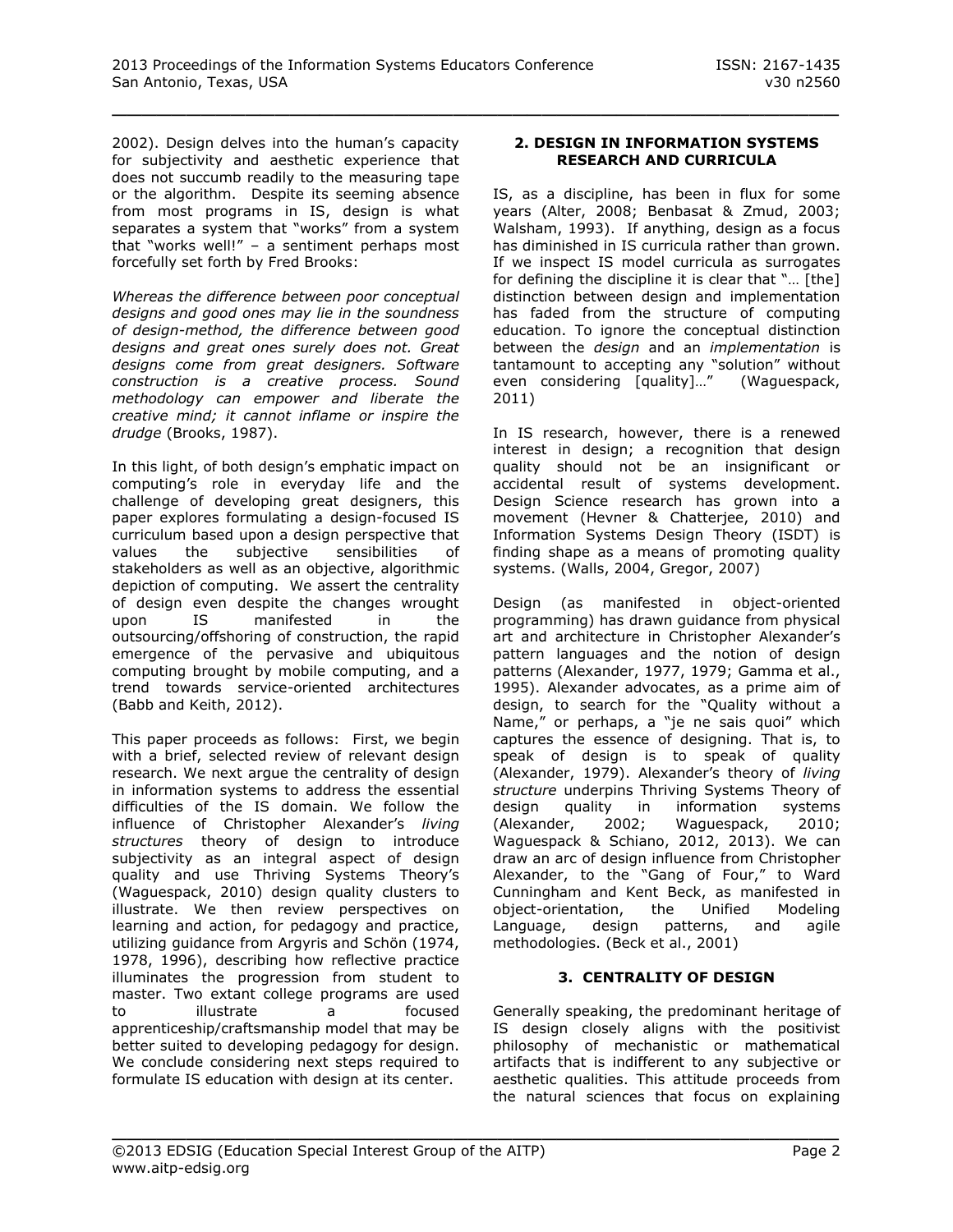2002). Design delves into the human's capacity for subjectivity and aesthetic experience that does not succumb readily to the measuring tape or the algorithm. Despite its seeming absence from most programs in IS, design is what separates a system that "works" from a system that "works well!" – a sentiment perhaps most forcefully set forth by Fred Brooks:

*Whereas the difference between poor conceptual designs and good ones may lie in the soundness of design-method, the difference between good designs and great ones surely does not. Great designs come from great designers. Software construction is a creative process. Sound methodology can empower and liberate the creative mind; it cannot inflame or inspire the drudge* (Brooks, 1987).

In this light, of both design's emphatic impact on computing's role in everyday life and the challenge of developing great designers, this paper explores formulating a design-focused IS curriculum based upon a design perspective that values the subjective sensibilities of stakeholders as well as an objective, algorithmic depiction of computing. We assert the centrality of design even despite the changes wrought upon IS manifested in the outsourcing/offshoring of construction, the rapid emergence of the pervasive and ubiquitous computing brought by mobile computing, and a trend towards service-oriented architectures (Babb and Keith, 2012).

This paper proceeds as follows: First, we begin with a brief, selected review of relevant design research. We next argue the centrality of design in information systems to address the essential difficulties of the IS domain. We follow the influence of Christopher Alexander's *living structures* theory of design to introduce subjectivity as an integral aspect of design quality and use Thriving Systems Theory's (Waguespack, 2010) design quality clusters to illustrate. We then review perspectives on learning and action, for pedagogy and practice, utilizing guidance from Argyris and Schön (1974, 1978, 1996), describing how reflective practice illuminates the progression from student to master. Two extant college programs are used to illustrate a focused apprenticeship/craftsmanship model that may be better suited to developing pedagogy for design. We conclude considering next steps required to formulate IS education with design at its center.

# **2. DESIGN IN INFORMATION SYSTEMS RESEARCH AND CURRICULA**

IS, as a discipline, has been in flux for some years (Alter, 2008; Benbasat & Zmud, 2003; Walsham, 1993). If anything, design as a focus has diminished in IS curricula rather than grown. If we inspect IS model curricula as surrogates for defining the discipline it is clear that "… [the] distinction between design and implementation has faded from the structure of computing education. To ignore the conceptual distinction between the *design* and an *implementation* is tantamount to accepting any "solution" without even considering [quality]…" (Waguespack, 2011)

In IS research, however, there is a renewed interest in design; a recognition that design quality should not be an insignificant or accidental result of systems development. Design Science research has grown into a movement (Hevner & Chatterjee, 2010) and Information Systems Design Theory (ISDT) is finding shape as a means of promoting quality systems. (Walls, 2004, Gregor, 2007)

Design (as manifested in object-oriented programming) has drawn guidance from physical art and architecture in Christopher Alexander's pattern languages and the notion of design patterns (Alexander, 1977, 1979; Gamma et al., 1995). Alexander advocates, as a prime aim of design, to search for the "Quality without a Name," or perhaps, a "je ne sais quoi" which captures the essence of designing. That is, to speak of design is to speak of quality (Alexander, 1979). Alexander's theory of *living structure* underpins Thriving Systems Theory of design quality in information systems (Alexander, 2002; Waguespack, 2010; Waguespack & Schiano, 2012, 2013). We can draw an arc of design influence from Christopher Alexander, to the "Gang of Four," to Ward Cunningham and Kent Beck, as manifested in object-orientation, the Unified Modeling Language, design patterns, and agile methodologies. (Beck et al., 2001)

# **3. CENTRALITY OF DESIGN**

Generally speaking, the predominant heritage of IS design closely aligns with the positivist philosophy of mechanistic or mathematical artifacts that is indifferent to any subjective or aesthetic qualities. This attitude proceeds from the natural sciences that focus on explaining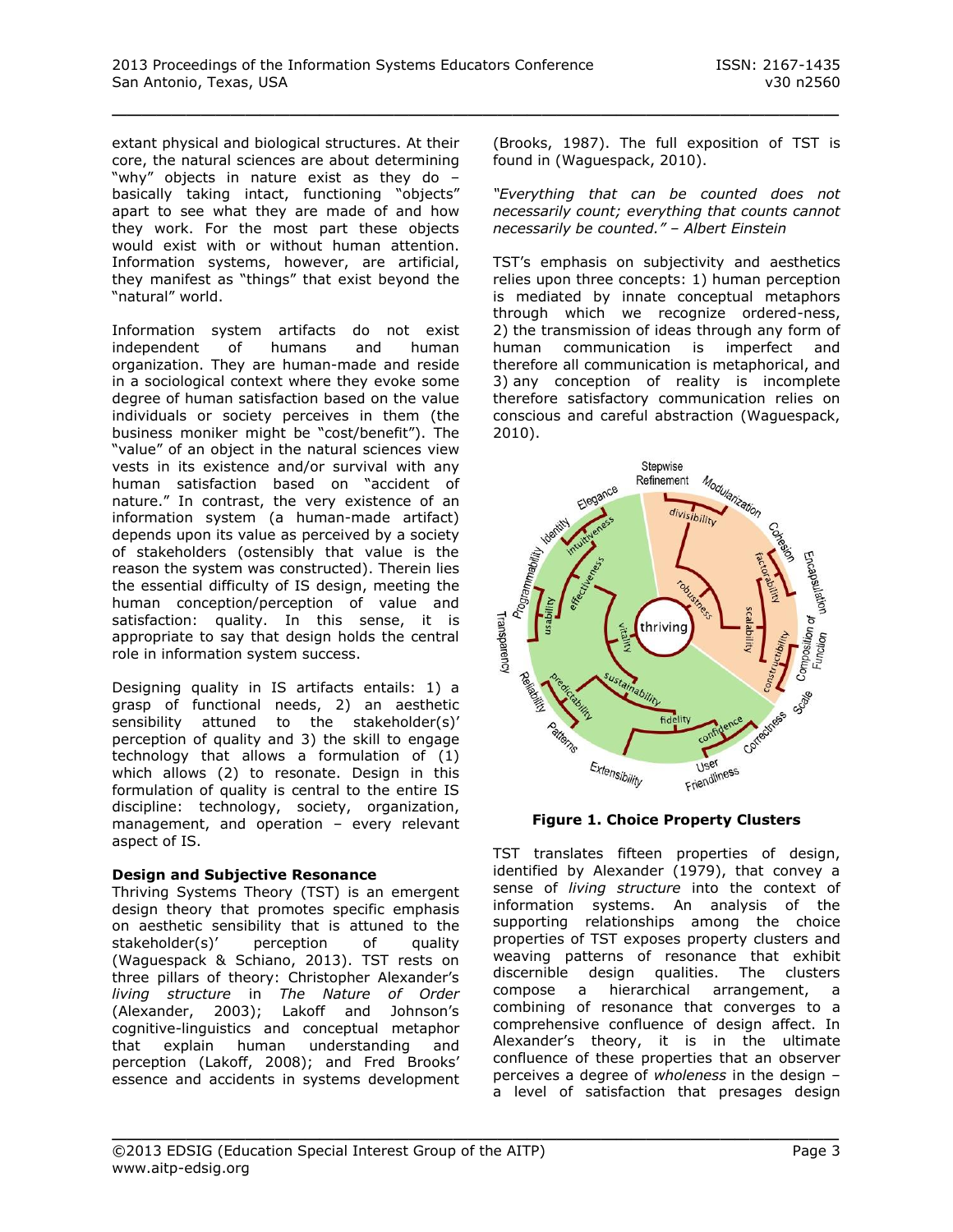extant physical and biological structures. At their core, the natural sciences are about determining "why" objects in nature exist as they do – basically taking intact, functioning "objects" apart to see what they are made of and how they work. For the most part these objects would exist with or without human attention. Information systems, however, are artificial, they manifest as "things" that exist beyond the "natural" world.

Information system artifacts do not exist independent of humans and human organization. They are human-made and reside in a sociological context where they evoke some degree of human satisfaction based on the value individuals or society perceives in them (the business moniker might be "cost/benefit"). The "value" of an object in the natural sciences view vests in its existence and/or survival with any human satisfaction based on "accident of nature." In contrast, the very existence of an information system (a human-made artifact) depends upon its value as perceived by a society of stakeholders (ostensibly that value is the reason the system was constructed). Therein lies the essential difficulty of IS design, meeting the human conception/perception of value and satisfaction: quality. In this sense, it is appropriate to say that design holds the central role in information system success.

Designing quality in IS artifacts entails: 1) a grasp of functional needs, 2) an aesthetic sensibility attuned to the stakeholder(s)' perception of quality and 3) the skill to engage technology that allows a formulation of (1) which allows (2) to resonate. Design in this formulation of quality is central to the entire IS discipline: technology, society, organization, management, and operation – every relevant aspect of IS.

# **Design and Subjective Resonance**

Thriving Systems Theory (TST) is an emergent design theory that promotes specific emphasis on aesthetic sensibility that is attuned to the stakeholder(s)' perception of quality (Waguespack & Schiano, 2013). TST rests on three pillars of theory: Christopher Alexander's *living structure* in *The Nature of Order* (Alexander, 2003); Lakoff and Johnson's cognitive-linguistics and conceptual metaphor that explain human understanding and perception (Lakoff, 2008); and Fred Brooks' essence and accidents in systems development (Brooks, 1987). The full exposition of TST is found in (Waguespack, 2010).

*"Everything that can be counted does not necessarily count; everything that counts cannot necessarily be counted." – Albert Einstein*

TST's emphasis on subjectivity and aesthetics relies upon three concepts: 1) human perception is mediated by innate conceptual metaphors through which we recognize ordered-ness, 2) the transmission of ideas through any form of human communication is imperfect and therefore all communication is metaphorical, and 3) any conception of reality is incomplete therefore satisfactory communication relies on conscious and careful abstraction (Waguespack, 2010).



**Figure 1. Choice Property Clusters**

TST translates fifteen properties of design, identified by Alexander (1979), that convey a sense of *living structure* into the context of information systems. An analysis of the supporting relationships among the choice properties of TST exposes property clusters and weaving patterns of resonance that exhibit discernible design qualities. The clusters compose a hierarchical arrangement, a combining of resonance that converges to a comprehensive confluence of design affect. In Alexander's theory, it is in the ultimate confluence of these properties that an observer perceives a degree of *wholeness* in the design – a level of satisfaction that presages design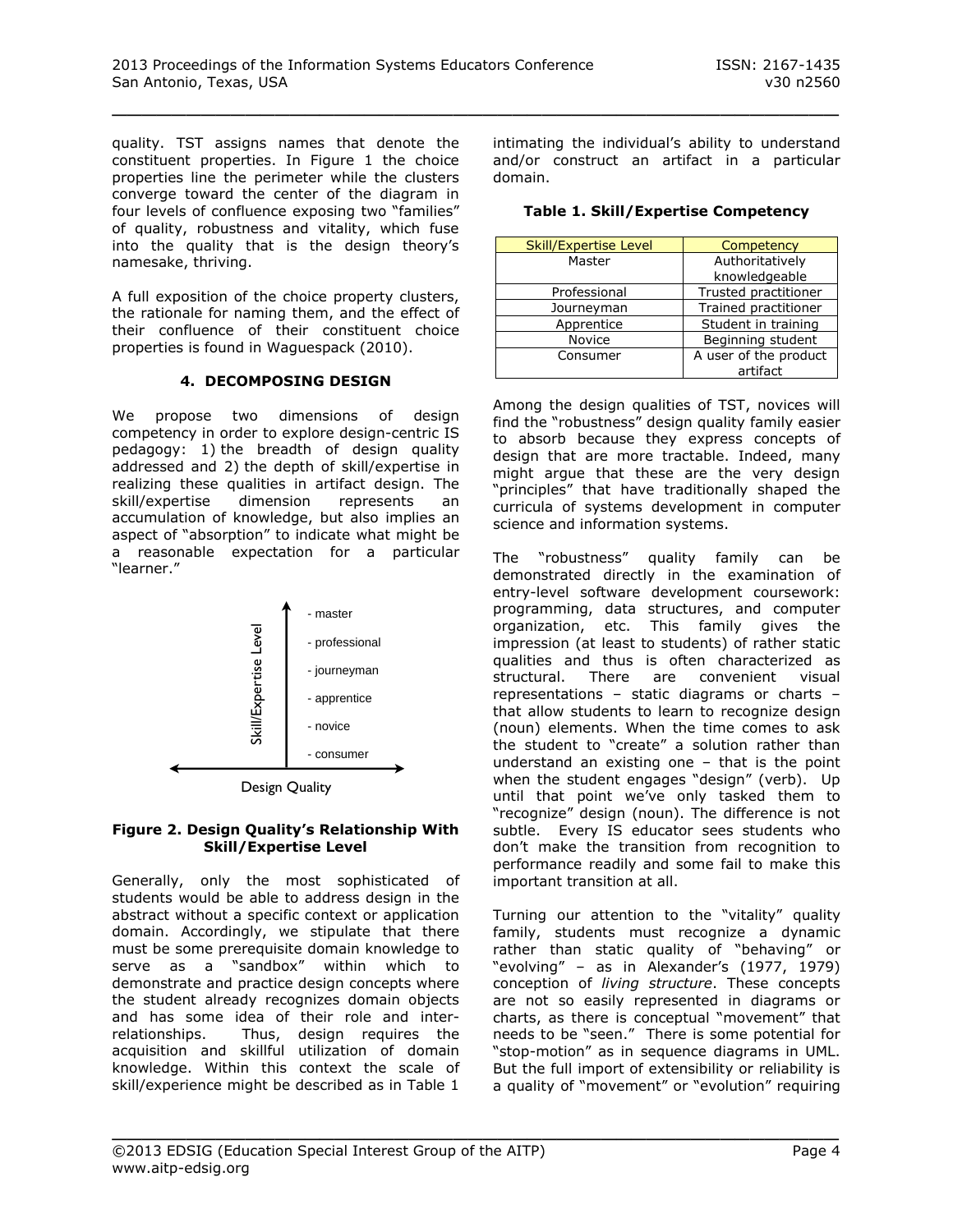quality. TST assigns names that denote the constituent properties. In Figure 1 the choice properties line the perimeter while the clusters converge toward the center of the diagram in four levels of confluence exposing two "families" of quality, robustness and vitality, which fuse into the quality that is the design theory's namesake, thriving.

A full exposition of the choice property clusters, the rationale for naming them, and the effect of their confluence of their constituent choice properties is found in Waguespack (2010).

# **4. DECOMPOSING DESIGN**

We propose two dimensions of design competency in order to explore design-centric IS pedagogy: 1) the breadth of design quality addressed and 2) the depth of skill/expertise in realizing these qualities in artifact design. The skill/expertise dimension represents an accumulation of knowledge, but also implies an aspect of "absorption" to indicate what might be a reasonable expectation for a particular "learner."



Design Quality

#### **Figure 2. Design Quality's Relationship With Skill/Expertise Level**

Generally, only the most sophisticated of students would be able to address design in the abstract without a specific context or application domain. Accordingly, we stipulate that there must be some prerequisite domain knowledge to serve as a "sandbox" within which to demonstrate and practice design concepts where the student already recognizes domain objects and has some idea of their role and interrelationships. Thus, design requires the acquisition and skillful utilization of domain knowledge. Within this context the scale of skill/experience might be described as in Table 1

intimating the individual's ability to understand and/or construct an artifact in a particular domain.

|  |  |  | Table 1. Skill/Expertise Competency |
|--|--|--|-------------------------------------|
|--|--|--|-------------------------------------|

| <b>Skill/Expertise Level</b> | Competency            |  |
|------------------------------|-----------------------|--|
| Master                       | Authoritatively       |  |
|                              | knowledgeable         |  |
| Professional                 | Trusted practitioner  |  |
| Journeyman                   | Trained practitioner  |  |
| Apprentice                   | Student in training   |  |
| Novice                       | Beginning student     |  |
| Consumer                     | A user of the product |  |
|                              | artifact              |  |

Among the design qualities of TST, novices will find the "robustness" design quality family easier to absorb because they express concepts of design that are more tractable. Indeed, many might argue that these are the very design "principles" that have traditionally shaped the curricula of systems development in computer science and information systems.

The "robustness" quality family can be demonstrated directly in the examination of entry-level software development coursework: programming, data structures, and computer organization, etc. This family gives the impression (at least to students) of rather static qualities and thus is often characterized as structural. There are convenient visual representations – static diagrams or charts – that allow students to learn to recognize design (noun) elements. When the time comes to ask the student to "create" a solution rather than understand an existing one – that is the point when the student engages "design" (verb). Up until that point we've only tasked them to "recognize" design (noun). The difference is not subtle. Every IS educator sees students who don't make the transition from recognition to performance readily and some fail to make this important transition at all.

Turning our attention to the "vitality" quality family, students must recognize a dynamic rather than static quality of "behaving" or "evolving" – as in Alexander's (1977, 1979) conception of *living structure*. These concepts are not so easily represented in diagrams or charts, as there is conceptual "movement" that needs to be "seen." There is some potential for "stop-motion" as in sequence diagrams in UML. But the full import of extensibility or reliability is a quality of "movement" or "evolution" requiring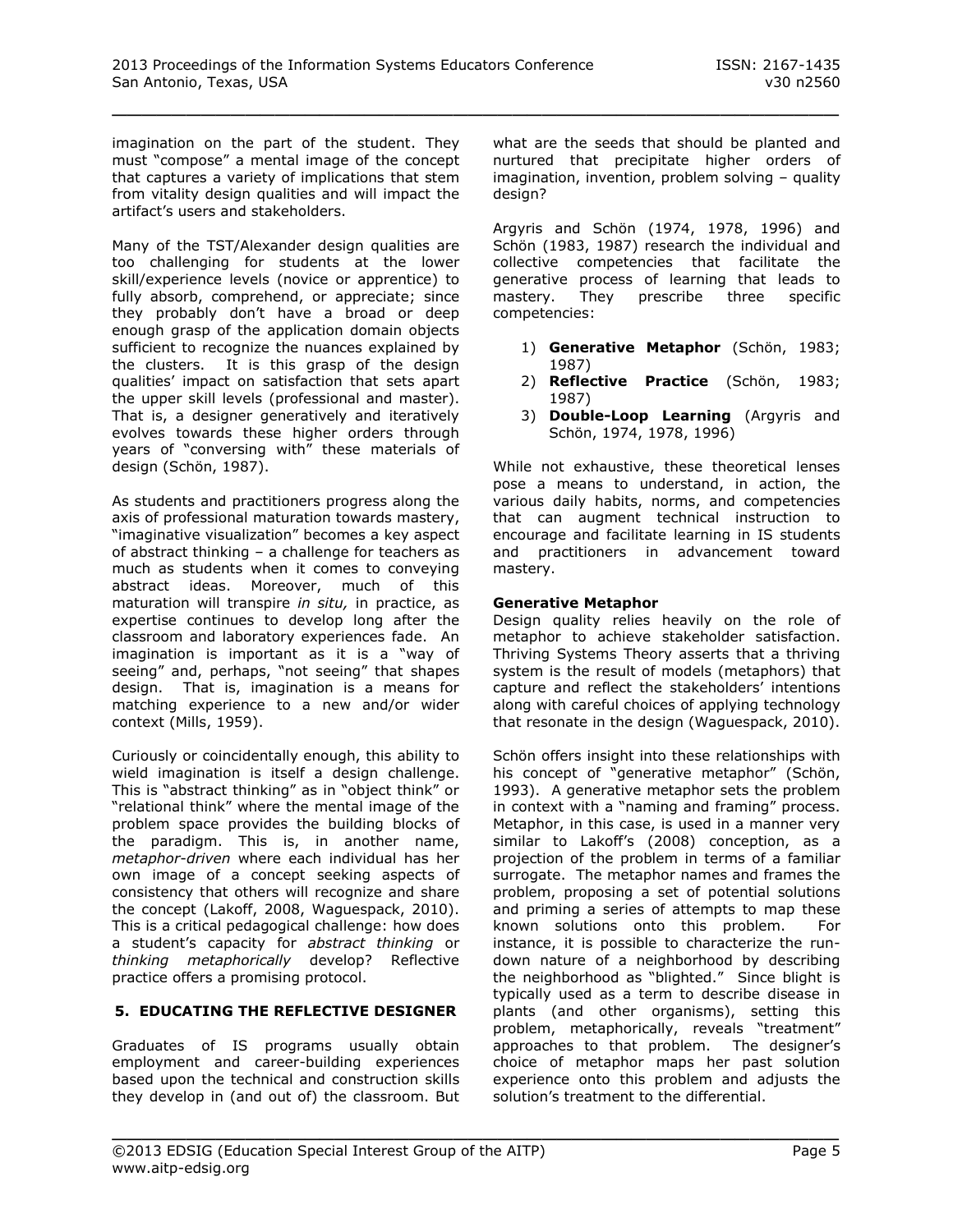imagination on the part of the student. They must "compose" a mental image of the concept that captures a variety of implications that stem from vitality design qualities and will impact the artifact's users and stakeholders.

Many of the TST/Alexander design qualities are too challenging for students at the lower skill/experience levels (novice or apprentice) to fully absorb, comprehend, or appreciate; since they probably don't have a broad or deep enough grasp of the application domain objects sufficient to recognize the nuances explained by the clusters. It is this grasp of the design qualities' impact on satisfaction that sets apart the upper skill levels (professional and master). That is, a designer generatively and iteratively evolves towards these higher orders through years of "conversing with" these materials of design (Schön, 1987).

As students and practitioners progress along the axis of professional maturation towards mastery, "imaginative visualization" becomes a key aspect of abstract thinking – a challenge for teachers as much as students when it comes to conveying abstract ideas. Moreover, much of this maturation will transpire *in situ,* in practice, as expertise continues to develop long after the classroom and laboratory experiences fade. An imagination is important as it is a "way of seeing" and, perhaps, "not seeing" that shapes design. That is, imagination is a means for matching experience to a new and/or wider context (Mills, 1959).

Curiously or coincidentally enough, this ability to wield imagination is itself a design challenge. This is "abstract thinking" as in "object think" or "relational think" where the mental image of the problem space provides the building blocks of the paradigm. This is, in another name, *metaphor*-*driven* where each individual has her own image of a concept seeking aspects of consistency that others will recognize and share the concept (Lakoff, 2008, Waguespack, 2010). This is a critical pedagogical challenge: how does a student's capacity for *abstract thinking* or *thinking metaphorically* develop? Reflective practice offers a promising protocol.

# **5. EDUCATING THE REFLECTIVE DESIGNER**

Graduates of IS programs usually obtain employment and career-building experiences based upon the technical and construction skills they develop in (and out of) the classroom. But what are the seeds that should be planted and nurtured that precipitate higher orders of imagination, invention, problem solving – quality design?

Argyris and Schön (1974, 1978, 1996) and Schön (1983, 1987) research the individual and collective competencies that facilitate the generative process of learning that leads to mastery. They prescribe three specific competencies:

- 1) **Generative Metaphor** (Schön, 1983; 1987)
- 2) **Reflective Practice** (Schön, 1983; 1987)
- 3) **Double-Loop Learning** (Argyris and Schön, 1974, 1978, 1996)

While not exhaustive, these theoretical lenses pose a means to understand, in action, the various daily habits, norms, and competencies that can augment technical instruction to encourage and facilitate learning in IS students and practitioners in advancement toward mastery.

#### **Generative Metaphor**

Design quality relies heavily on the role of metaphor to achieve stakeholder satisfaction. Thriving Systems Theory asserts that a thriving system is the result of models (metaphors) that capture and reflect the stakeholders' intentions along with careful choices of applying technology that resonate in the design (Waguespack, 2010).

Schön offers insight into these relationships with his concept of "generative metaphor" (Schön, 1993). A generative metaphor sets the problem in context with a "naming and framing" process. Metaphor, in this case, is used in a manner very similar to Lakoff's (2008) conception, as a projection of the problem in terms of a familiar surrogate. The metaphor names and frames the problem, proposing a set of potential solutions and priming a series of attempts to map these known solutions onto this problem. For instance, it is possible to characterize the rundown nature of a neighborhood by describing the neighborhood as "blighted." Since blight is typically used as a term to describe disease in plants (and other organisms), setting this problem, metaphorically, reveals "treatment" approaches to that problem. The designer's choice of metaphor maps her past solution experience onto this problem and adjusts the solution's treatment to the differential.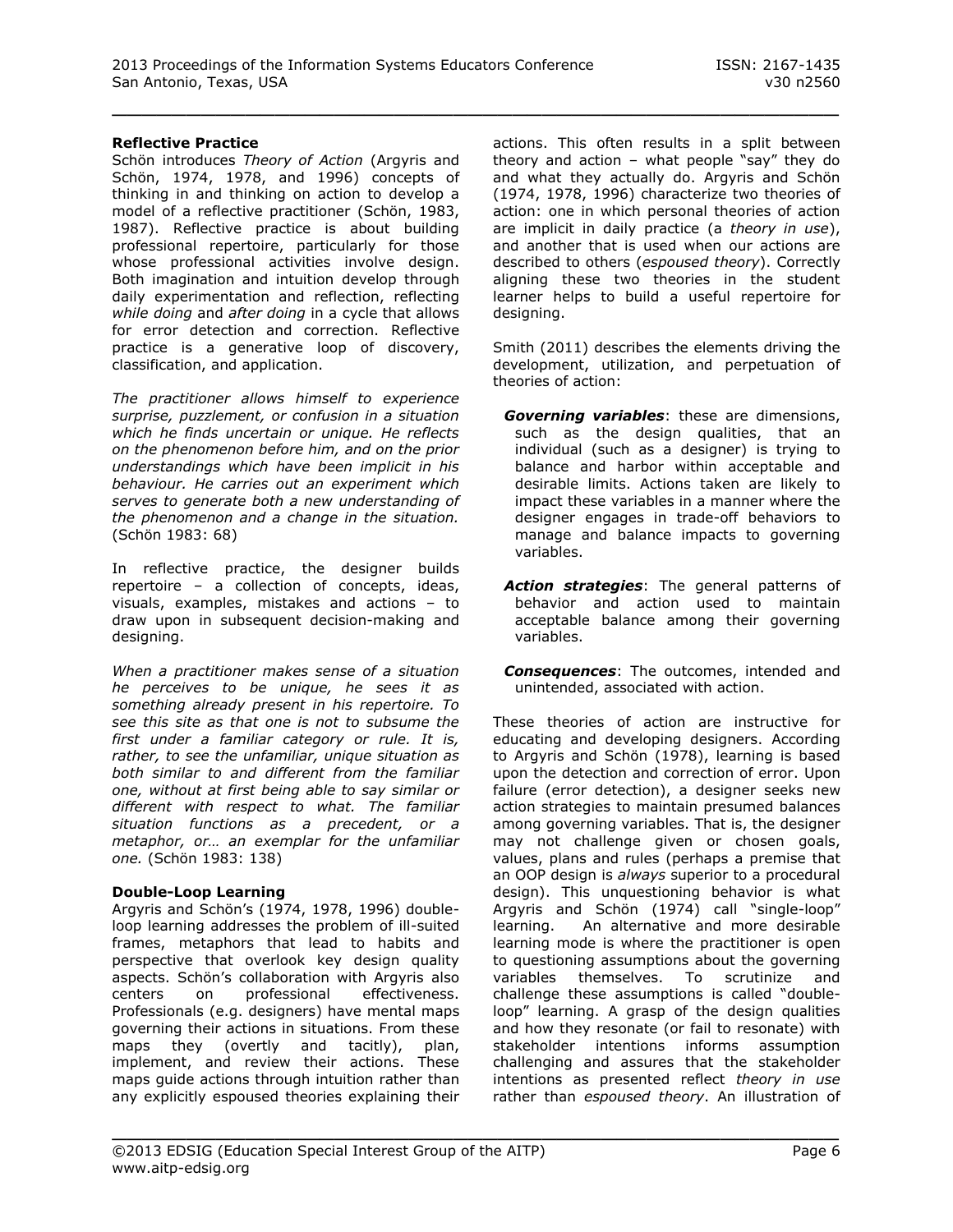#### **Reflective Practice**

Schön introduces *Theory of Action* (Argyris and Schön, 1974, 1978, and 1996) concepts of thinking in and thinking on action to develop a model of a reflective practitioner (Schön, 1983, 1987). Reflective practice is about building professional repertoire, particularly for those whose professional activities involve design. Both imagination and intuition develop through daily experimentation and reflection, reflecting *while doing* and *after doing* in a cycle that allows for error detection and correction. Reflective practice is a generative loop of discovery, classification, and application.

*The practitioner allows himself to experience surprise, puzzlement, or confusion in a situation which he finds uncertain or unique. He reflects on the phenomenon before him, and on the prior understandings which have been implicit in his behaviour. He carries out an experiment which serves to generate both a new understanding of the phenomenon and a change in the situation.*  (Schön 1983: 68)

In reflective practice, the designer builds repertoire – a collection of concepts, ideas, visuals, examples, mistakes and actions – to draw upon in subsequent decision-making and designing.

*When a practitioner makes sense of a situation he perceives to be unique, he sees it as something already present in his repertoire. To see this site as that one is not to subsume the first under a familiar category or rule. It is, rather, to see the unfamiliar, unique situation as both similar to and different from the familiar one, without at first being able to say similar or different with respect to what. The familiar situation functions as a precedent, or a metaphor, or… an exemplar for the unfamiliar one.* (Schön 1983: 138)

#### **Double-Loop Learning**

Argyris and Schön's (1974, 1978, 1996) doubleloop learning addresses the problem of ill-suited frames, metaphors that lead to habits and perspective that overlook key design quality aspects. Schön's collaboration with Argyris also<br>centers on professional effectiveness. centers on professional effectiveness. Professionals (e.g. designers) have mental maps governing their actions in situations. From these maps they (overtly and tacitly), plan, implement, and review their actions. These maps guide actions through intuition rather than any explicitly espoused theories explaining their

actions. This often results in a split between theory and action – what people "say" they do and what they actually do. Argyris and Schön (1974, 1978, 1996) characterize two theories of action: one in which personal theories of action are implicit in daily practice (a *theory in use*), and another that is used when our actions are described to others (*espoused theory*). Correctly aligning these two theories in the student learner helps to build a useful repertoire for designing.

Smith (2011) describes the elements driving the development, utilization, and perpetuation of theories of action:

- *Governing variables*: these are dimensions, such as the design qualities, that an individual (such as a designer) is trying to balance and harbor within acceptable and desirable limits. Actions taken are likely to impact these variables in a manner where the designer engages in trade-off behaviors to manage and balance impacts to governing variables.
- *Action strategies*: The general patterns of behavior and action used to maintain acceptable balance among their governing variables.
- *Consequences*: The outcomes, intended and unintended, associated with action.

These theories of action are instructive for educating and developing designers. According to Argyris and Schön (1978), learning is based upon the detection and correction of error. Upon failure (error detection), a designer seeks new action strategies to maintain presumed balances among governing variables. That is, the designer may not challenge given or chosen goals, values, plans and rules (perhaps a premise that an OOP design is *always* superior to a procedural design). This unquestioning behavior is what Argyris and Schön (1974) call "single-loop" learning. An alternative and more desirable learning mode is where the practitioner is open to questioning assumptions about the governing variables themselves. To scrutinize and challenge these assumptions is called "doubleloop" learning. A grasp of the design qualities and how they resonate (or fail to resonate) with stakeholder intentions informs assumption challenging and assures that the stakeholder intentions as presented reflect *theory in use* rather than *espoused theory*. An illustration of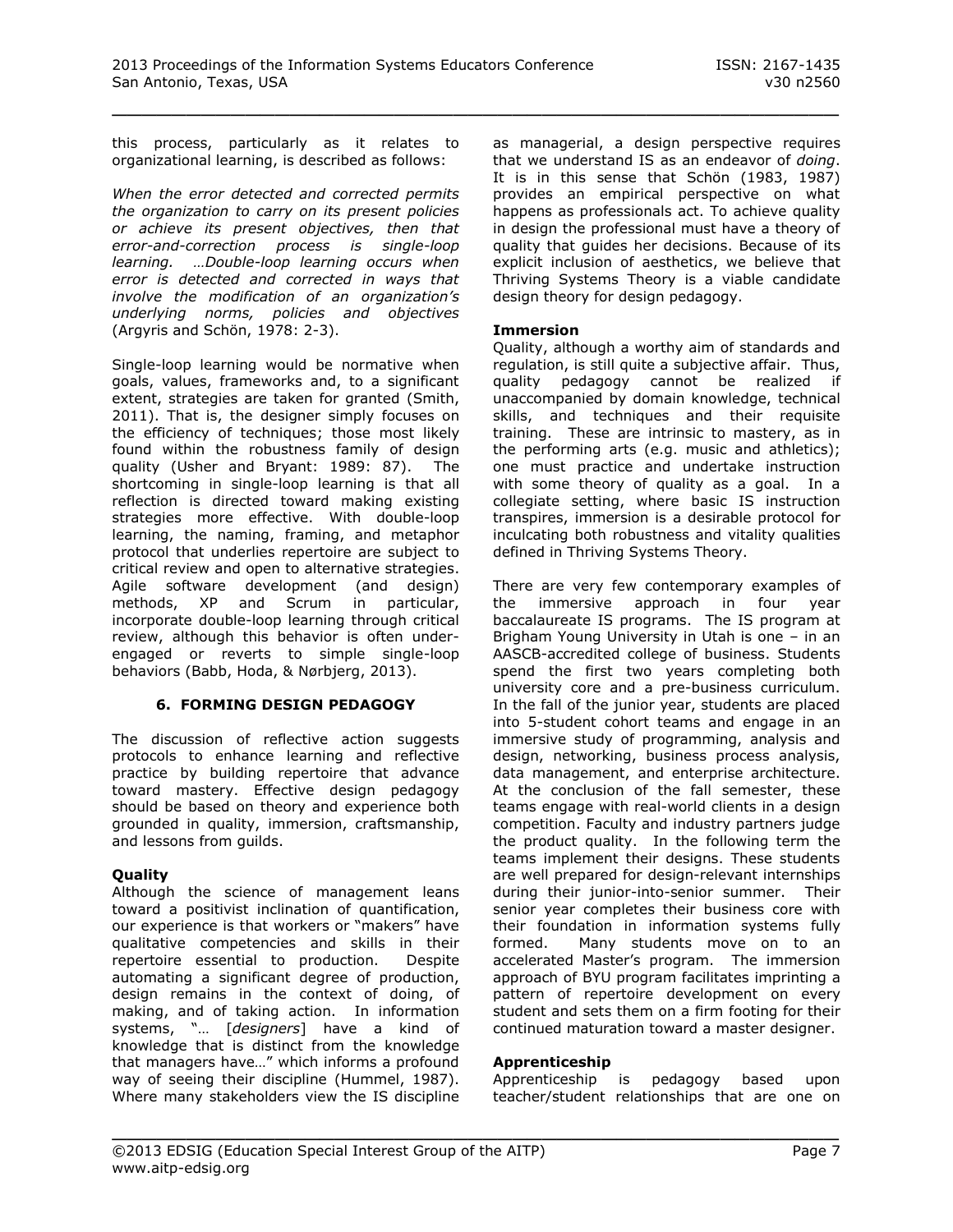this process, particularly as it relates to organizational learning, is described as follows:

*When the error detected and corrected permits the organization to carry on its present policies or achieve its present objectives, then that error-and-correction process is single-loop learning. …Double-loop learning occurs when error is detected and corrected in ways that involve the modification of an organization's underlying norms, policies and objectives* (Argyris and Schön, 1978: 2-3).

Single-loop learning would be normative when goals, values, frameworks and, to a significant extent, strategies are taken for granted (Smith, 2011). That is, the designer simply focuses on the efficiency of techniques; those most likely found within the robustness family of design quality (Usher and Bryant: 1989: 87). The shortcoming in single-loop learning is that all reflection is directed toward making existing strategies more effective. With double-loop learning, the naming, framing, and metaphor protocol that underlies repertoire are subject to critical review and open to alternative strategies. Agile software development (and design) methods, XP and Scrum in particular, incorporate double-loop learning through critical review, although this behavior is often underengaged or reverts to simple single-loop behaviors (Babb, Hoda, & Nørbjerg, 2013).

# **6. FORMING DESIGN PEDAGOGY**

The discussion of reflective action suggests protocols to enhance learning and reflective practice by building repertoire that advance toward mastery. Effective design pedagogy should be based on theory and experience both grounded in quality, immersion, craftsmanship, and lessons from guilds.

# **Quality**

Although the science of management leans toward a positivist inclination of quantification, our experience is that workers or "makers" have qualitative competencies and skills in their repertoire essential to production. Despite automating a significant degree of production, design remains in the context of doing, of making, and of taking action. In information systems, "… [*designers*] have a kind of knowledge that is distinct from the knowledge that managers have…" which informs a profound way of seeing their discipline (Hummel, 1987). Where many stakeholders view the IS discipline as managerial, a design perspective requires that we understand IS as an endeavor of *doing*. It is in this sense that Schön (1983, 1987) provides an empirical perspective on what happens as professionals act. To achieve quality in design the professional must have a theory of quality that guides her decisions. Because of its explicit inclusion of aesthetics, we believe that Thriving Systems Theory is a viable candidate design theory for design pedagogy.

#### **Immersion**

\_\_\_\_\_\_\_\_\_\_\_\_\_\_\_\_\_\_\_\_\_\_\_\_\_\_\_\_\_\_\_\_\_\_\_\_\_\_\_\_\_\_\_\_\_\_\_\_\_

Quality, although a worthy aim of standards and regulation, is still quite a subjective affair. Thus, quality pedagogy cannot be realized if unaccompanied by domain knowledge, technical skills, and techniques and their requisite training. These are intrinsic to mastery, as in the performing arts (e.g. music and athletics); one must practice and undertake instruction with some theory of quality as a goal. In a collegiate setting, where basic IS instruction transpires, immersion is a desirable protocol for inculcating both robustness and vitality qualities defined in Thriving Systems Theory.

There are very few contemporary examples of the immersive approach in four year baccalaureate IS programs. The IS program at Brigham Young University in Utah is one – in an AASCB-accredited college of business. Students spend the first two years completing both university core and a pre-business curriculum. In the fall of the junior year, students are placed into 5-student cohort teams and engage in an immersive study of programming, analysis and design, networking, business process analysis, data management, and enterprise architecture. At the conclusion of the fall semester, these teams engage with real-world clients in a design competition. Faculty and industry partners judge the product quality. In the following term the teams implement their designs. These students are well prepared for design-relevant internships during their junior-into-senior summer. Their senior year completes their business core with their foundation in information systems fully formed. Many students move on to an accelerated Master's program. The immersion approach of BYU program facilitates imprinting a pattern of repertoire development on every student and sets them on a firm footing for their continued maturation toward a master designer.

#### **Apprenticeship**

\_\_\_\_\_\_\_\_\_\_\_\_\_\_\_\_\_\_\_\_\_\_\_\_\_\_\_\_\_\_\_\_\_\_\_\_\_\_\_\_\_\_\_\_\_\_\_\_\_

Apprenticeship is pedagogy based upon teacher/student relationships that are one on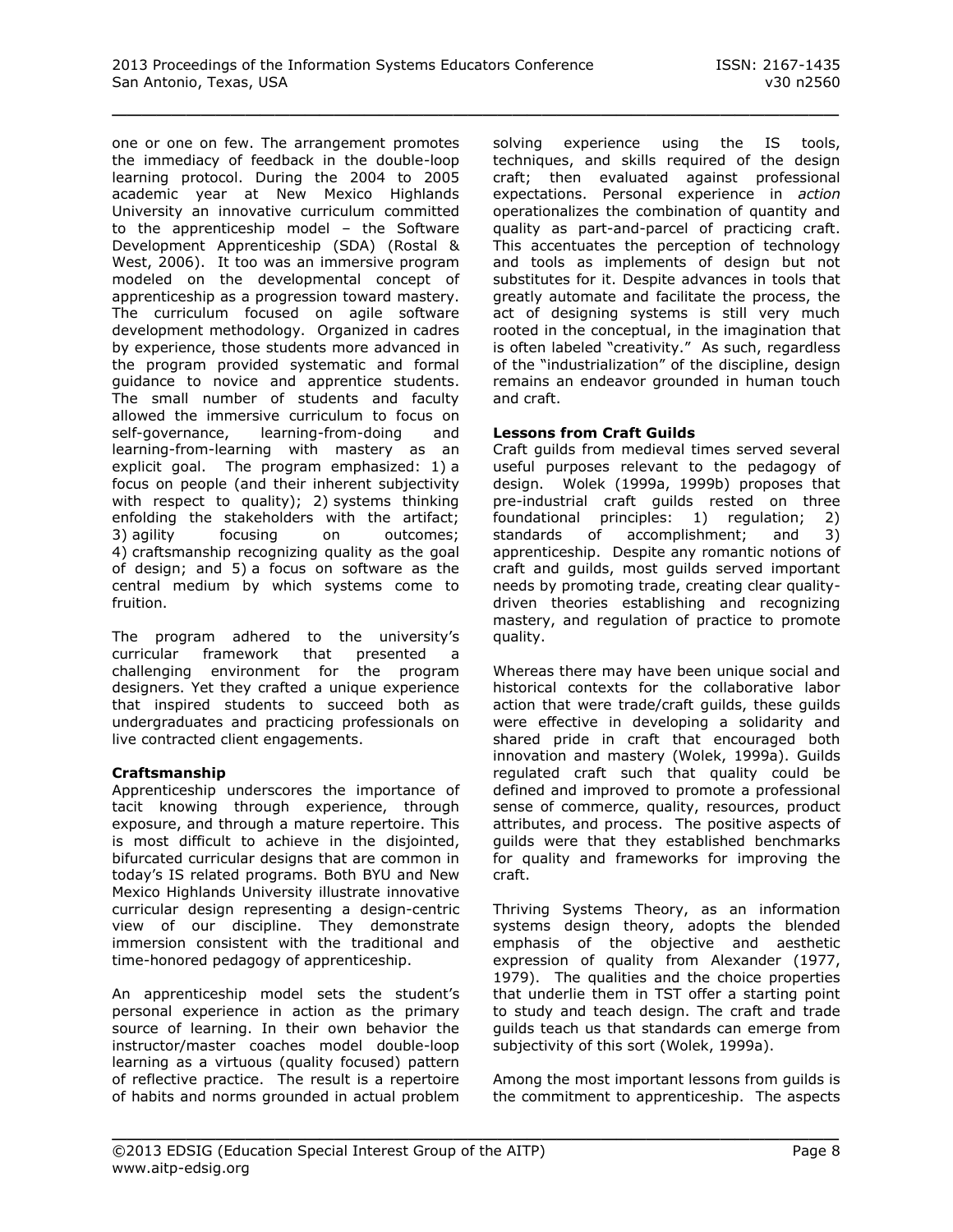one or one on few. The arrangement promotes the immediacy of feedback in the double-loop learning protocol. During the 2004 to 2005 academic year at New Mexico Highlands University an innovative curriculum committed to the apprenticeship model – the Software Development Apprenticeship (SDA) (Rostal & West, 2006). It too was an immersive program modeled on the developmental concept of apprenticeship as a progression toward mastery. The curriculum focused on agile software development methodology. Organized in cadres by experience, those students more advanced in the program provided systematic and formal guidance to novice and apprentice students. The small number of students and faculty allowed the immersive curriculum to focus on self-governance, learning-from-doing and learning-from-learning with mastery as an explicit goal. The program emphasized: 1) a focus on people (and their inherent subjectivity with respect to quality); 2) systems thinking enfolding the stakeholders with the artifact; 3) agility focusing on outcomes; 4) craftsmanship recognizing quality as the goal of design; and 5) a focus on software as the central medium by which systems come to fruition.

The program adhered to the university's curricular framework that presented a challenging environment for the program designers. Yet they crafted a unique experience that inspired students to succeed both as undergraduates and practicing professionals on live contracted client engagements.

# **Craftsmanship**

Apprenticeship underscores the importance of tacit knowing through experience, through exposure, and through a mature repertoire. This is most difficult to achieve in the disjointed, bifurcated curricular designs that are common in today's IS related programs. Both BYU and New Mexico Highlands University illustrate innovative curricular design representing a design-centric view of our discipline. They demonstrate immersion consistent with the traditional and time-honored pedagogy of apprenticeship.

An apprenticeship model sets the student's personal experience in action as the primary source of learning. In their own behavior the instructor/master coaches model double-loop learning as a virtuous (quality focused) pattern of reflective practice. The result is a repertoire of habits and norms grounded in actual problem solving experience using the IS tools, techniques, and skills required of the design craft; then evaluated against professional expectations. Personal experience in *action* operationalizes the combination of quantity and quality as part-and-parcel of practicing craft. This accentuates the perception of technology and tools as implements of design but not substitutes for it. Despite advances in tools that greatly automate and facilitate the process, the act of designing systems is still very much rooted in the conceptual, in the imagination that is often labeled "creativity." As such, regardless of the "industrialization" of the discipline, design remains an endeavor grounded in human touch and craft.

#### **Lessons from Craft Guilds**

Craft guilds from medieval times served several useful purposes relevant to the pedagogy of design. Wolek (1999a, 1999b) proposes that pre-industrial craft guilds rested on three foundational principles: 1) regulation; 2) standards of accomplishment; and 3) apprenticeship. Despite any romantic notions of craft and guilds, most guilds served important needs by promoting trade, creating clear qualitydriven theories establishing and recognizing mastery, and regulation of practice to promote quality.

Whereas there may have been unique social and historical contexts for the collaborative labor action that were trade/craft guilds, these guilds were effective in developing a solidarity and shared pride in craft that encouraged both innovation and mastery (Wolek, 1999a). Guilds regulated craft such that quality could be defined and improved to promote a professional sense of commerce, quality, resources, product attributes, and process. The positive aspects of guilds were that they established benchmarks for quality and frameworks for improving the craft.

Thriving Systems Theory, as an information systems design theory, adopts the blended emphasis of the objective and aesthetic expression of quality from Alexander (1977, 1979). The qualities and the choice properties that underlie them in TST offer a starting point to study and teach design. The craft and trade guilds teach us that standards can emerge from subjectivity of this sort (Wolek, 1999a).

Among the most important lessons from guilds is the commitment to apprenticeship. The aspects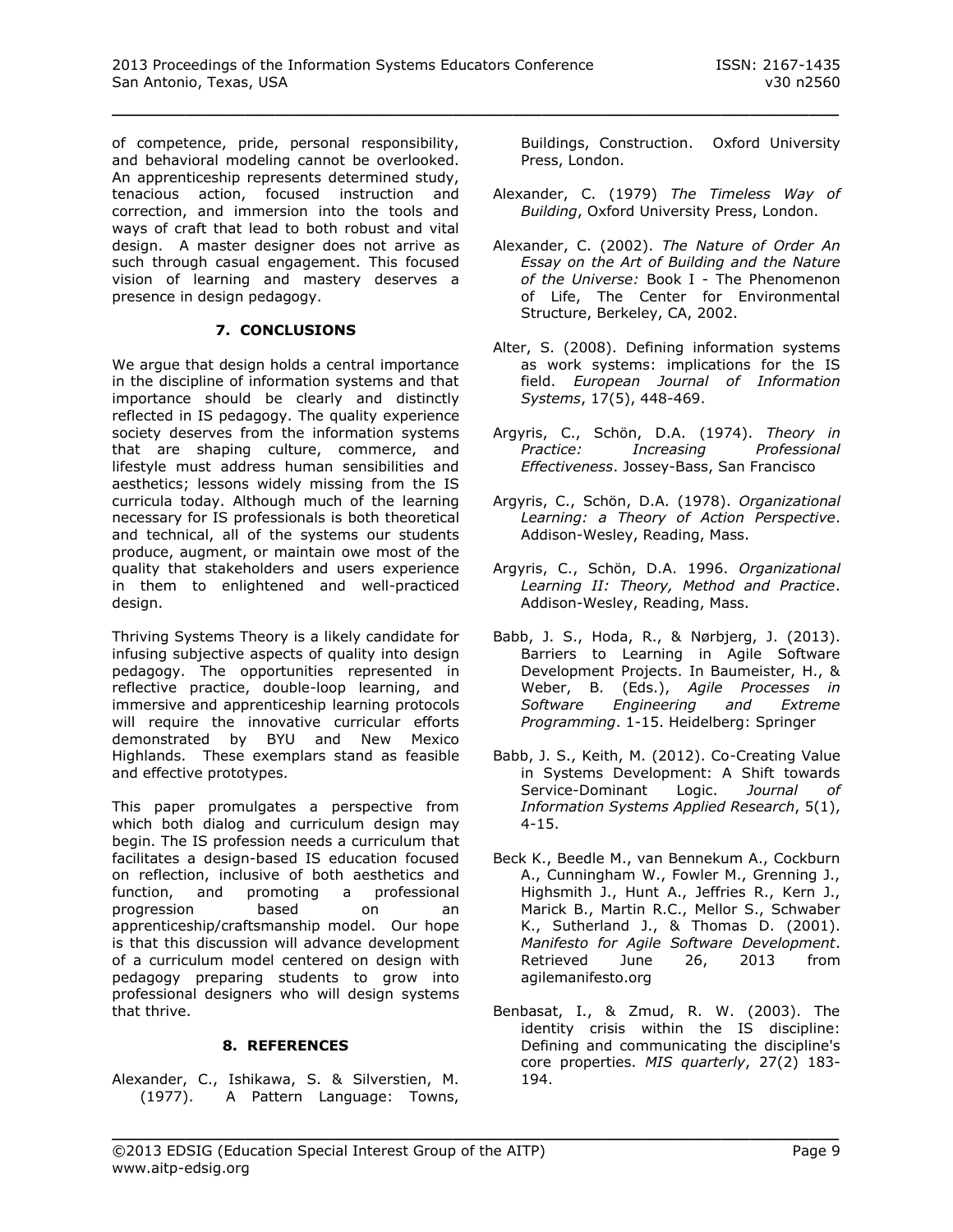of competence, pride, personal responsibility, and behavioral modeling cannot be overlooked. An apprenticeship represents determined study, tenacious action, focused instruction and correction, and immersion into the tools and ways of craft that lead to both robust and vital design. A master designer does not arrive as such through casual engagement. This focused vision of learning and mastery deserves a presence in design pedagogy.

# **7. CONCLUSIONS**

We argue that design holds a central importance in the discipline of information systems and that importance should be clearly and distinctly reflected in IS pedagogy. The quality experience society deserves from the information systems that are shaping culture, commerce, and lifestyle must address human sensibilities and aesthetics; lessons widely missing from the IS curricula today. Although much of the learning necessary for IS professionals is both theoretical and technical, all of the systems our students produce, augment, or maintain owe most of the quality that stakeholders and users experience in them to enlightened and well-practiced design.

Thriving Systems Theory is a likely candidate for infusing subjective aspects of quality into design pedagogy. The opportunities represented in reflective practice, double-loop learning, and immersive and apprenticeship learning protocols will require the innovative curricular efforts demonstrated by BYU and New Mexico Highlands. These exemplars stand as feasible and effective prototypes.

This paper promulgates a perspective from which both dialog and curriculum design may begin. The IS profession needs a curriculum that facilitates a design-based IS education focused on reflection, inclusive of both aesthetics and function, and promoting a professional progression based on an apprenticeship/craftsmanship model. Our hope is that this discussion will advance development of a curriculum model centered on design with pedagogy preparing students to grow into professional designers who will design systems that thrive.

# **8. REFERENCES**

Alexander, C., Ishikawa, S. & Silverstien, M. (1977). A Pattern Language: Towns, Buildings, Construction. Oxford University Press, London.

- Alexander, C. (1979) *The Timeless Way of Building*, Oxford University Press, London.
- Alexander, C. (2002). *The Nature of Order An Essay on the Art of Building and the Nature of the Universe:* Book I - The Phenomenon of Life, The Center for Environmental Structure, Berkeley, CA, 2002.
- Alter, S. (2008). Defining information systems as work systems: implications for the IS field. *European Journal of Information Systems*, 17(5), 448-469.
- Argyris, C., Schön, D.A. (1974). *Theory in Practice: Increasing Professional Effectiveness*. Jossey-Bass, San Francisco
- Argyris, C., Schön, D.A. (1978). *Organizational Learning: a Theory of Action Perspective*. Addison-Wesley, Reading, Mass.
- Argyris, C., Schön, D.A. 1996. *Organizational Learning II: Theory, Method and Practice*. Addison-Wesley, Reading, Mass.
- Babb, J. S., Hoda, R., & Nørbjerg, J. (2013). Barriers to Learning in Agile Software Development Projects. In Baumeister, H., & Weber, B. (Eds.), *Agile Processes in Software Engineering and Extreme Programming*. 1-15. Heidelberg: Springer
- Babb, J. S., Keith, M. (2012). Co-Creating Value in Systems Development: A Shift towards Service-Dominant Logic. *Journal of Information Systems Applied Research*, 5(1), 4-15.
- Beck K., Beedle M., van Bennekum A., Cockburn A., Cunningham W., Fowler M., Grenning J., Highsmith J., Hunt A., Jeffries R., Kern J., Marick B., Martin R.C., Mellor S., Schwaber K., Sutherland J., & Thomas D. (2001). *Manifesto for Agile Software Development*. Retrieved June 26, 2013 from agilemanifesto.org
- Benbasat, I., & Zmud, R. W. (2003). The identity crisis within the IS discipline: Defining and communicating the discipline's core properties. *MIS quarterly*, 27(2) 183- 194.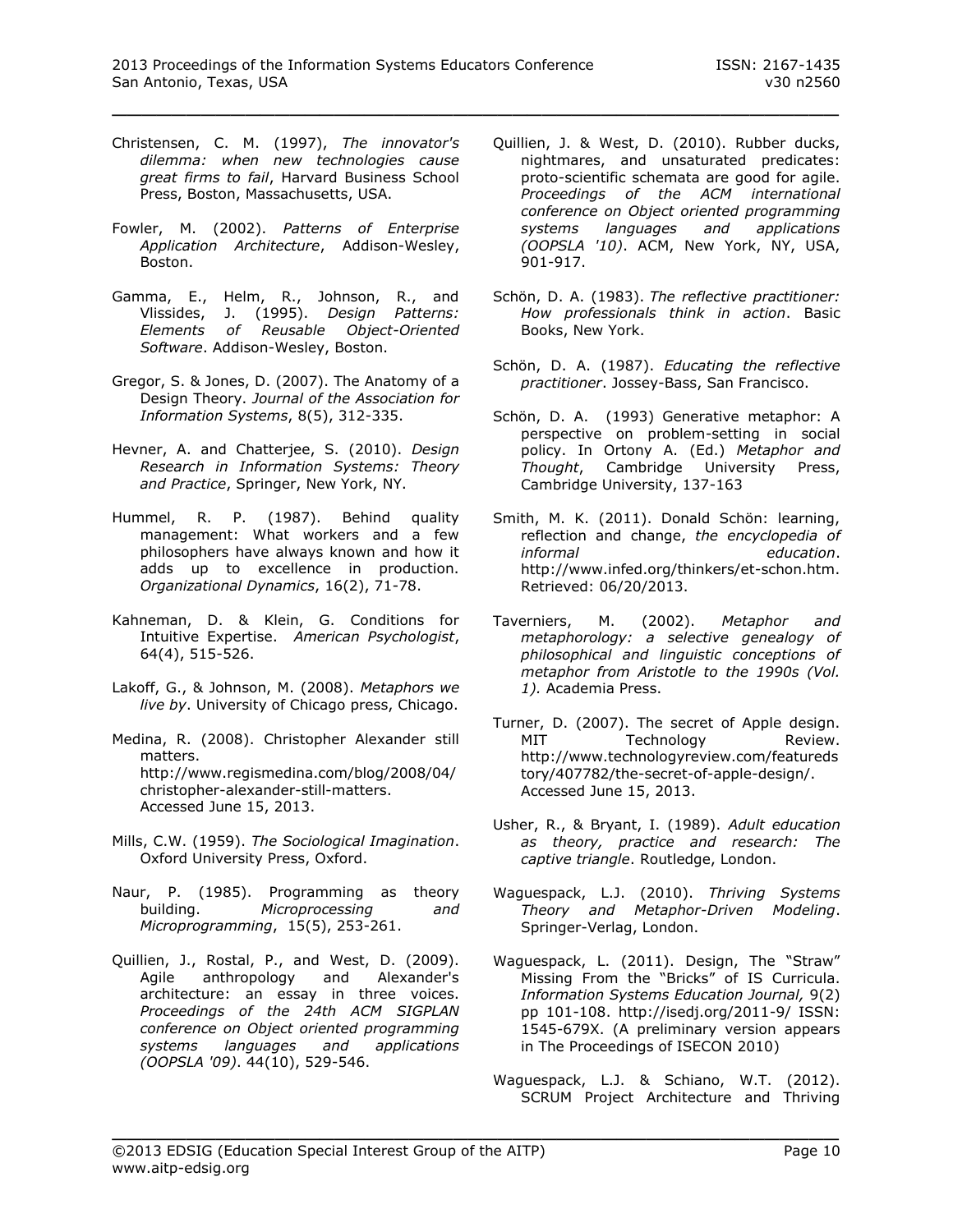- Christensen, C. M. (1997), *The innovator's dilemma: when new technologies cause great firms to fail*, Harvard Business School Press, Boston, Massachusetts, USA.
- Fowler, M. (2002). *Patterns of Enterprise Application Architecture*, Addison-Wesley, Boston.
- Gamma, E., Helm, R., Johnson, R., and Vlissides, J. (1995). *Design Patterns: Elements of Reusable Object-Oriented Software*. Addison-Wesley, Boston.
- Gregor, S. & Jones, D. (2007). The Anatomy of a Design Theory. *Journal of the Association for Information Systems*, 8(5), 312-335.
- Hevner, A. and Chatterjee, S. (2010). *Design Research in Information Systems: Theory and Practice*, Springer, New York, NY.
- Hummel, R. P. (1987). Behind quality management: What workers and a few philosophers have always known and how it adds up to excellence in production. *Organizational Dynamics*, 16(2), 71-78.
- Kahneman, D. & Klein, G. Conditions for Intuitive Expertise. *American Psychologist*, 64(4), 515-526.
- Lakoff, G., & Johnson, M. (2008). *Metaphors we live by*. University of Chicago press, Chicago.
- Medina, R. (2008). Christopher Alexander still matters. [http://www.regismedina.com/blog/2008/04/](http://www.regismedina.com/blog/2008/04/christopher-alexander-still-matters) [christopher-alexander-still-matters.](http://www.regismedina.com/blog/2008/04/christopher-alexander-still-matters) Accessed June 15, 2013.
- Mills, C.W. (1959). *The Sociological Imagination*. Oxford University Press, Oxford.
- Naur, P. (1985). Programming as theory building. *Microprocessing and Microprogramming*, 15(5), 253-261.
- Quillien, J., Rostal, P., and West, D. (2009). Agile anthropology and Alexander's architecture: an essay in three voices. *Proceedings of the 24th ACM SIGPLAN conference on Object oriented programming systems languages and applications (OOPSLA '09)*. 44(10), 529-546.
- Quillien, J. & West, D. (2010). Rubber ducks, nightmares, and unsaturated predicates: proto-scientific schemata are good for agile. *Proceedings of the ACM international conference on Object oriented programming systems languages and applications (OOPSLA '10)*. ACM, New York, NY, USA, 901-917.
- Schön, D. A. (1983). *The reflective practitioner: How professionals think in action*. Basic Books, New York.
- Schön, D. A. (1987). *Educating the reflective practitioner*. Jossey-Bass, San Francisco.
- Schön, D. A. (1993) Generative metaphor: A perspective on problem-setting in social policy. In Ortony A. (Ed.) *Metaphor and Thought*, Cambridge University Press, Cambridge University, 137-163
- Smith, M. K. (2011). Donald Schön: learning, reflection and change, *the encyclopedia of informal education*. http://www.infed.org/thinkers/et-schon.htm. Retrieved: 06/20/2013.
- Taverniers, M. (2002). *Metaphor and metaphorology: a selective genealogy of philosophical and linguistic conceptions of metaphor from Aristotle to the 1990s (Vol. 1).* Academia Press.
- Turner, D. (2007). The secret of Apple design. MIT Technology Review. [http://www.technologyreview.com/featureds](http://www.technologyreview.com/featuredstory/407782/the-secret-of-apple-design/) [tory/407782/the-secret-of-apple-design/.](http://www.technologyreview.com/featuredstory/407782/the-secret-of-apple-design/) Accessed June 15, 2013.
- Usher, R., & Bryant, I. (1989). *Adult education as theory, practice and research: The captive triangle*. Routledge, London.
- Waguespack, L.J. (2010). *Thriving Systems Theory and Metaphor-Driven Modeling*. Springer-Verlag, London.
- Waguespack, L. (2011). Design, The "Straw" Missing From the "Bricks" of IS Curricula. *Information Systems Education Journal,* 9(2) pp 101-108. http://isedj.org/2011-9/ ISSN: 1545-679X. (A preliminary version appears in [The Proceedings of ISECON 2010\)](http://proc.isecon.org/2010/pdf/1334.pdf)
- Waguespack, L.J. & Schiano, W.T. (2012). SCRUM Project Architecture and Thriving